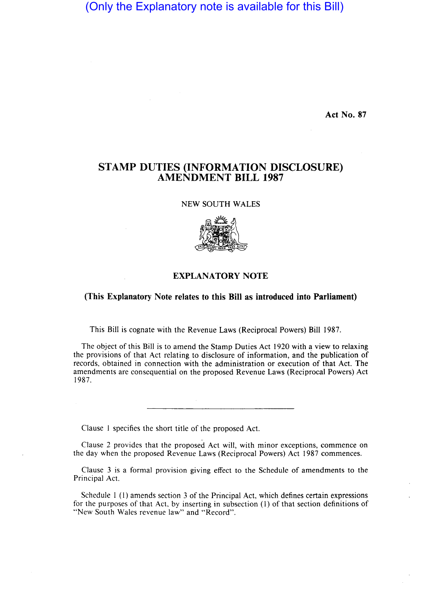# (Only the Explanatory note is available for this Bill)

Act No. 87

## STAMP DUTIES (INFORMATION DISCLOSURE) AMENDMENT **BILL** 1987

NEW SOUTH WALES



#### EXPLANATORY NOTE

#### (This Explanatory Note relates to this Bill as introduced into Parliament)

This Bill is cognate with the Revenue Laws (Reciprocal Powers) Bill 1987.

The object of this Bill is to amend the Stamp Duties Act 1920 with a view to relaxing the provisions of that Act relating to disclosure of information, and the publication of records, obtained in connection with the administration or execution of that Act. The amendments are consequential on the proposed Revenue Laws (Reciprocal Powers) Act 1987.

Clause I specifies the short title of the proposed Act.

Clause 2 provides that the proposed Act will, with minor exceptions, commence on the day when the proposed Revenue Laws (Reciprocal Powers) Act 1987 commences.

Clause 3 is a formal provision giving effect to the Schedule of amendments to the Principal Act.

Schedule I (I) amends section 3 of the Principal Act, which defines certain expressions for the purposes of that Act, by inserting in subsection (1) of that section definitions of "New South Wales revenue law" and "Record".